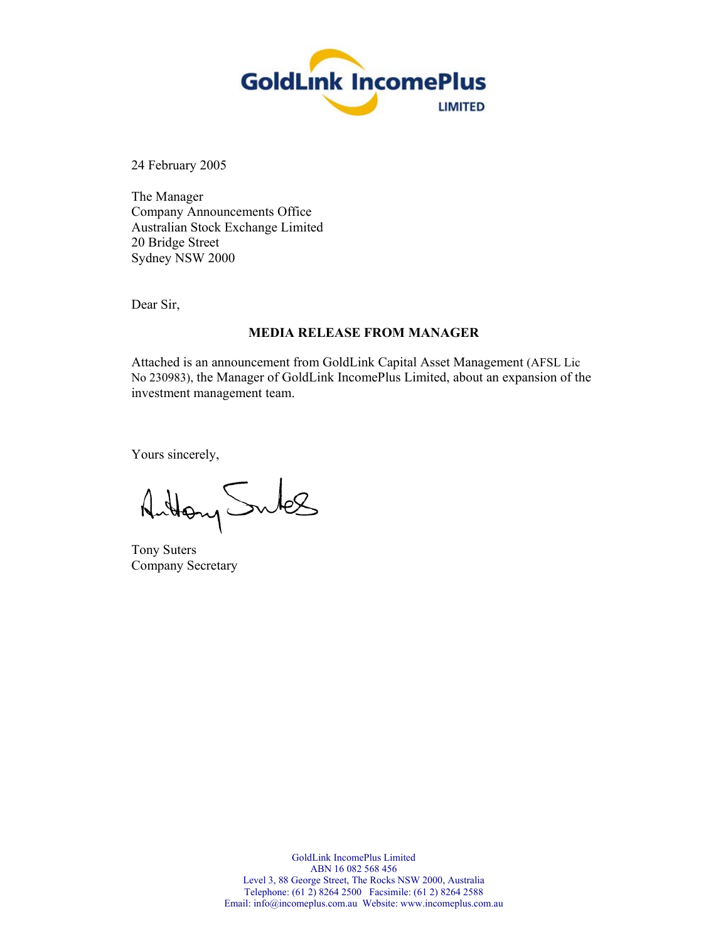

24 February 2005

The Manager Company Announcements Office Australian Stock Exchange Limited 20 Bridge Street Sydney NSW 2000

Dear Sir,

## **MEDIA RELEASE FROM MANAGER**

Attached is an announcement from GoldLink Capital Asset Management (AFSL Lic No 230983), the Manager of GoldLink IncomePlus Limited, about an expansion of the investment management team.

Yours sincerely,

Antony Sules

Tony Suters Company Secretary